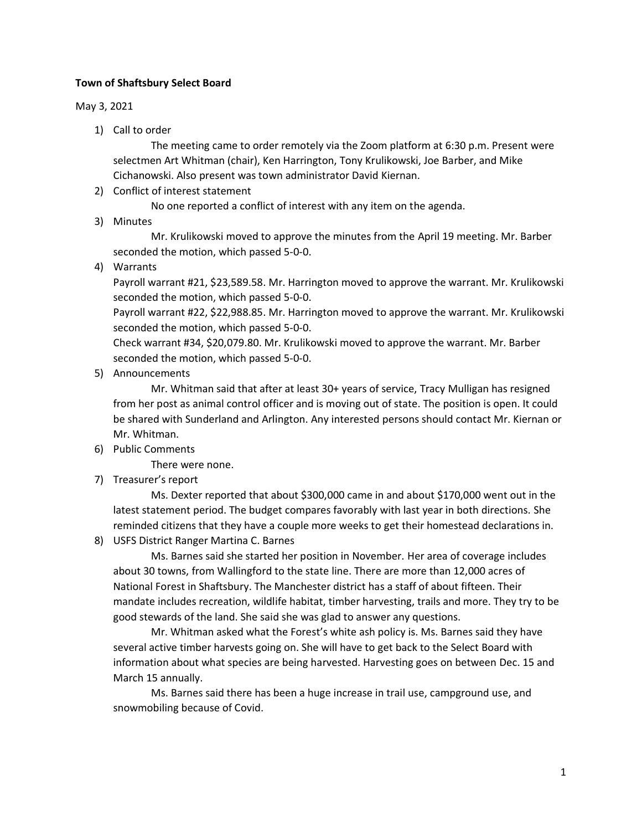## **Town of Shaftsbury Select Board**

## May 3, 2021

1) Call to order

The meeting came to order remotely via the Zoom platform at 6:30 p.m. Present were selectmen Art Whitman (chair), Ken Harrington, Tony Krulikowski, Joe Barber, and Mike Cichanowski. Also present was town administrator David Kiernan.

2) Conflict of interest statement

No one reported a conflict of interest with any item on the agenda.

3) Minutes

Mr. Krulikowski moved to approve the minutes from the April 19 meeting. Mr. Barber seconded the motion, which passed 5-0-0.

4) Warrants

Payroll warrant #21, \$23,589.58. Mr. Harrington moved to approve the warrant. Mr. Krulikowski seconded the motion, which passed 5-0-0.

Payroll warrant #22, \$22,988.85. Mr. Harrington moved to approve the warrant. Mr. Krulikowski seconded the motion, which passed 5-0-0.

Check warrant #34, \$20,079.80. Mr. Krulikowski moved to approve the warrant. Mr. Barber seconded the motion, which passed 5-0-0.

5) Announcements

Mr. Whitman said that after at least 30+ years of service, Tracy Mulligan has resigned from her post as animal control officer and is moving out of state. The position is open. It could be shared with Sunderland and Arlington. Any interested persons should contact Mr. Kiernan or Mr. Whitman.

6) Public Comments

There were none.

7) Treasurer's report

Ms. Dexter reported that about \$300,000 came in and about \$170,000 went out in the latest statement period. The budget compares favorably with last year in both directions. She reminded citizens that they have a couple more weeks to get their homestead declarations in.

8) USFS District Ranger Martina C. Barnes

Ms. Barnes said she started her position in November. Her area of coverage includes about 30 towns, from Wallingford to the state line. There are more than 12,000 acres of National Forest in Shaftsbury. The Manchester district has a staff of about fifteen. Their mandate includes recreation, wildlife habitat, timber harvesting, trails and more. They try to be good stewards of the land. She said she was glad to answer any questions.

Mr. Whitman asked what the Forest's white ash policy is. Ms. Barnes said they have several active timber harvests going on. She will have to get back to the Select Board with information about what species are being harvested. Harvesting goes on between Dec. 15 and March 15 annually.

Ms. Barnes said there has been a huge increase in trail use, campground use, and snowmobiling because of Covid.